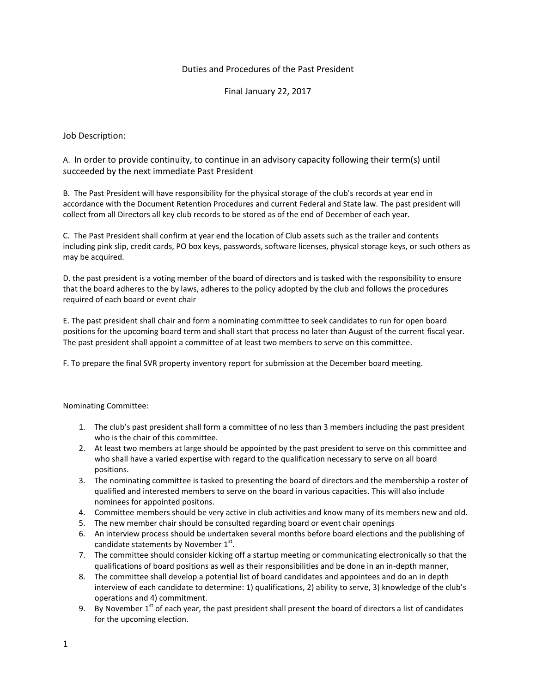## Duties and Procedures of the Past President

Final January 22, 2017

Job Description:

A. In order to provide continuity, to continue in an advisory capacity following their term(s) until succeeded by the next immediate Past President

B. The Past President will have responsibility for the physical storage of the club's records at year end in accordance with the Document Retention Procedures and current Federal and State law. The past president will collect from all Directors all key club records to be stored as of the end of December of each year.

C. The Past President shall confirm at year end the location of Club assets such as the trailer and contents including pink slip, credit cards, PO box keys, passwords, software licenses, physical storage keys, or such others as may be acquired.

D. the past president is a voting member of the board of directors and is tasked with the responsibility to ensure that the board adheres to the by laws, adheres to the policy adopted by the club and follows the procedures required of each board or event chair

E. The past president shall chair and form a nominating committee to seek candidates to run for open board positions for the upcoming board term and shall start that process no later than August of the current fiscal year. The past president shall appoint a committee of at least two members to serve on this committee.

F. To prepare the final SVR property inventory report for submission at the December board meeting.

Nominating Committee:

- 1. The club's past president shall form a committee of no less than 3 members including the past president who is the chair of this committee.
- 2. At least two members at large should be appointed by the past president to serve on this committee and who shall have a varied expertise with regard to the qualification necessary to serve on all board positions.
- 3. The nominating committee is tasked to presenting the board of directors and the membership a roster of qualified and interested members to serve on the board in various capacities. This will also include nominees for appointed positons.
- 4. Committee members should be very active in club activities and know many of its members new and old.
- 5. The new member chair should be consulted regarding board or event chair openings
- 6. An interview process should be undertaken several months before board elections and the publishing of candidate statements by November  $1^\text{st}$ .
- 7. The committee should consider kicking off a startup meeting or communicating electronically so that the qualifications of board positions as well as their responsibilities and be done in an in-depth manner,
- 8. The committee shall develop a potential list of board candidates and appointees and do an in depth interview of each candidate to determine: 1) qualifications, 2) ability to serve, 3) knowledge of the club's operations and 4) commitment.
- 9. By November  $1^{st}$  of each year, the past president shall present the board of directors a list of candidates for the upcoming election.